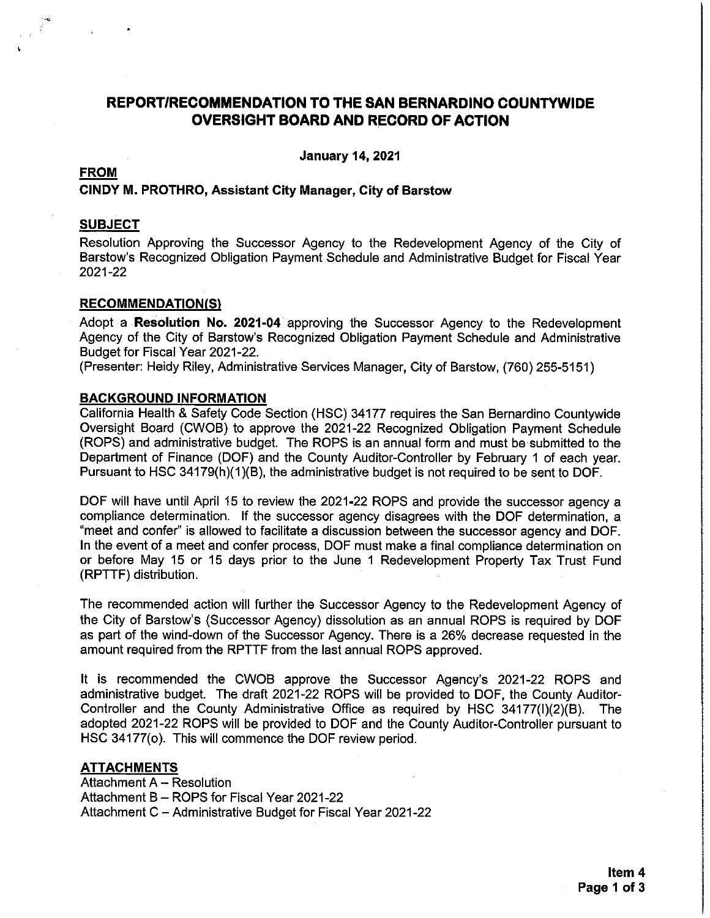# **REPORT/RECOMMENDATION TO THE SAN BERNARDINO COUNTYWIDE OVERSIGHT BOARD AND RECORD OF ACTION**

**January 14, 2021** 

#### **FROM**

#### CINDY M. PROTHRO, Assistant City Manager, City of Barstow

#### **SUBJECT**

Resolution Approving the Successor Agency to the Redevelopment Agency of the City of Barstow's Recognized Obligation Payment Schedule and Administrative Budget for Fiscal Year 2021-22

#### **RECOMMENDATION(S)**

Adopt a Resolution No. 2021-04 approving the Successor Agency to the Redevelopment Agency of the City of Barstow's Recognized Obligation Payment Schedule and Administrative Budget for Fiscal Year 2021-22.

(Presenter: Heidy Riley, Administrative Services Manager, City of Barstow, (760) 255-5151)

#### **BACKGROUND INFORMATION**

California Health & Safety Code Section (HSC) 34177 requires the San Bernardino Countywide Oversight Board (CWOB) to approve the 2021-22 Recognized Obligation Payment Schedule (ROPS) and administrative budget. The ROPS is an annual form and must be submitted to the Department of Finance (DOF) and the County Auditor-Controller by February 1 of each year. Pursuant to HSC 34179(h)(1)(B), the administrative budget is not required to be sent to DOF.

DOF will have until April 15 to review the 2021-22 ROPS and provide the successor agency a compliance determination. If the successor agency disagrees with the DOF determination, a "meet and confer" is allowed to facilitate a discussion between the successor agency and DOF. In the event of a meet and confer process, DOF must make a final compliance determination on or before May 15 or 15 days prior to the June 1 Redevelopment Property Tax Trust Fund (RPTTF) distribution.

The recommended action will further the Successor Agency to the Redevelopment Agency of the City of Barstow's (Successor Agency) dissolution as an annual ROPS is required by DOF as part of the wind-down of the Successor Agency. There is a 26% decrease requested in the amount required from the RPTTF from the last annual ROPS approved.

It is recommended the CWOB approve the Successor Agency's 2021-22 ROPS and administrative budget. The draft 2021-22 ROPS will be provided to DOF, the County Auditor-Controller and the County Administrative Office as required by HSC 34177(I)(2)(B). The adopted 2021-22 ROPS will be provided to DOF and the County Auditor-Controller pursuant to HSC 34177(o). This will commence the DOF review period.

#### **ATTACHMENTS**

Attachment A - Resolution Attachment B - ROPS for Fiscal Year 2021-22 Attachment C - Administrative Budget for Fiscal Year 2021-22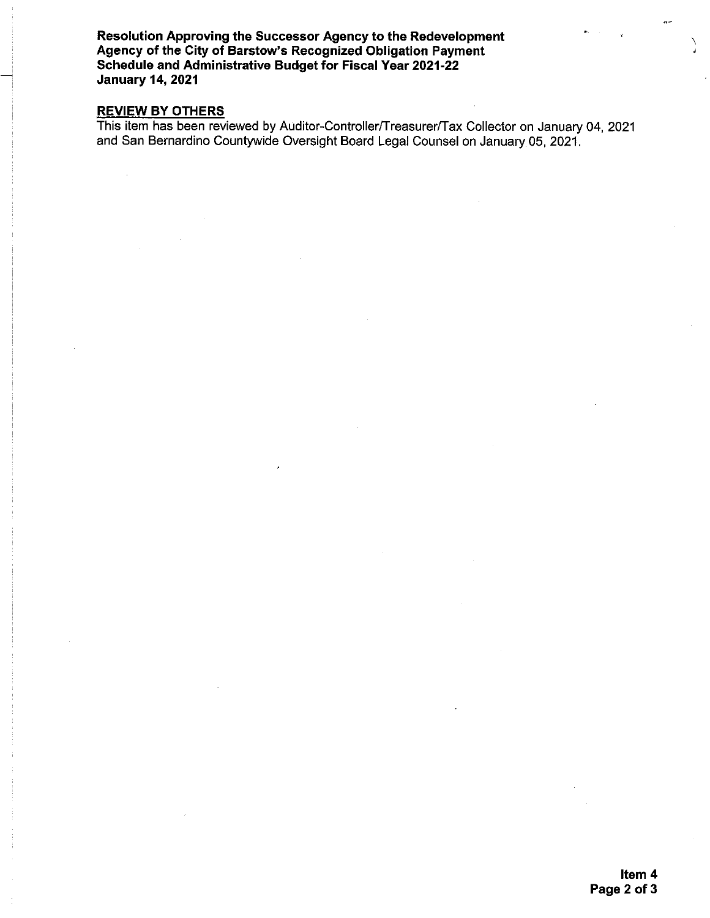Resolution Approving the Successor Agency to the Redevelopment Agency of the City of Barstow's Recognized Obligation Payment Schedule and Administrative Budget for Fiscal Year 2021-22 **January 14, 2021** 

### **REVIEW BY OTHERS**

This item has been reviewed by Auditor-Controller/Treasurer/Tax Collector on January 04, 2021 and San Bernardino Countywide Oversight Board Legal Counsel on January 05, 2021.

).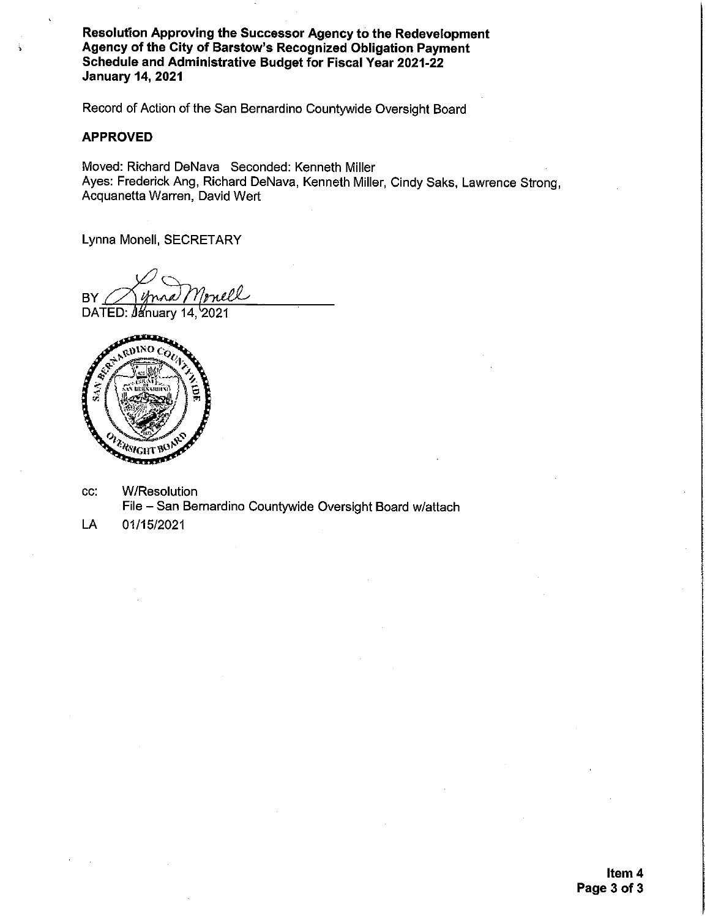Resolution Approving the Successor Agency to the Redevelopment Agency of the City of Barstow's Recognized Obligation Payment Schedule and Administrative Budget for Fiscal Year 2021-22 **January 14, 2021** 

Record of Action of the San Bernardino Countywide Oversight Board

#### **APPROVED**

Moved: Richard DeNava Seconded: Kenneth Miller Ayes: Frederick Ang, Richard DeNava, Kenneth Miller, Cindy Saks, Lawrence Strong, Acquanetta Warren, David Wert

Lynna Monell, SECRETARY

<u>rnell</u> **BY** 

DATED: January 14, 2021



- **W/Resolution** CC. File - San Bernardino Countywide Oversight Board w/attach
- LA 01/15/2021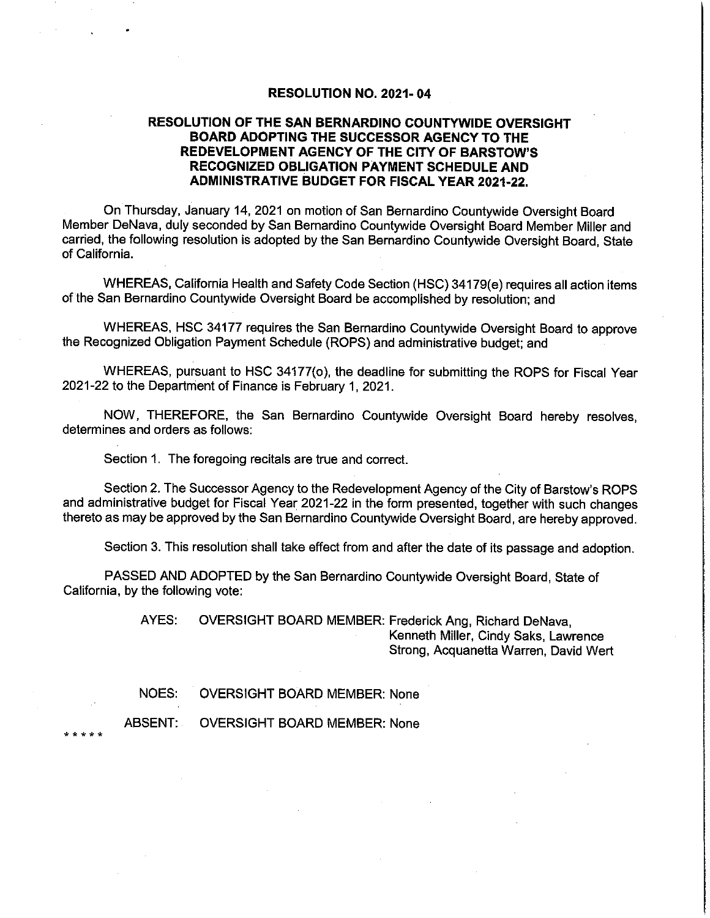#### **RESOLUTION NO. 2021-04**

#### RESOLUTION OF THE SAN BERNARDINO COUNTYWIDE OVERSIGHT **BOARD ADOPTING THE SUCCESSOR AGENCY TO THE** REDEVELOPMENT AGENCY OF THE CITY OF BARSTOW'S RECOGNIZED OBLIGATION PAYMENT SCHEDULE AND **ADMINISTRATIVE BUDGET FOR FISCAL YEAR 2021-22.**

On Thursday, January 14, 2021 on motion of San Bernardino Countywide Oversight Board Member DeNava, duly seconded by San Bernardino Countywide Oversight Board Member Miller and carried, the following resolution is adopted by the San Bernardino Countywide Oversight Board, State of California.

WHEREAS, California Health and Safety Code Section (HSC) 34179(e) requires all action items of the San Bernardino Countywide Oversight Board be accomplished by resolution; and

WHEREAS, HSC 34177 requires the San Bernardino Countywide Oversight Board to approve the Recognized Obligation Payment Schedule (ROPS) and administrative budget; and

WHEREAS, pursuant to HSC 34177(o), the deadline for submitting the ROPS for Fiscal Year 2021-22 to the Department of Finance is February 1, 2021.

NOW, THEREFORE, the San Bernardino Countywide Oversight Board hereby resolves, determines and orders as follows:

Section 1. The foregoing recitals are true and correct.

Section 2. The Successor Agency to the Redevelopment Agency of the City of Barstow's ROPS and administrative budget for Fiscal Year 2021-22 in the form presented, together with such changes thereto as may be approved by the San Bernardino Countywide Oversight Board, are hereby approved.

Section 3. This resolution shall take effect from and after the date of its passage and adoption.

PASSED AND ADOPTED by the San Bernardino Countywide Oversight Board, State of California, by the following vote:

> OVERSIGHT BOARD MEMBER: Frederick Ang, Richard DeNava, AYES: Kenneth Miller, Cindy Saks, Lawrence Strong, Acquanetta Warren, David Wert

NOES: **OVERSIGHT BOARD MEMBER: None** 

ABSENT: **OVERSIGHT BOARD MEMBER: None**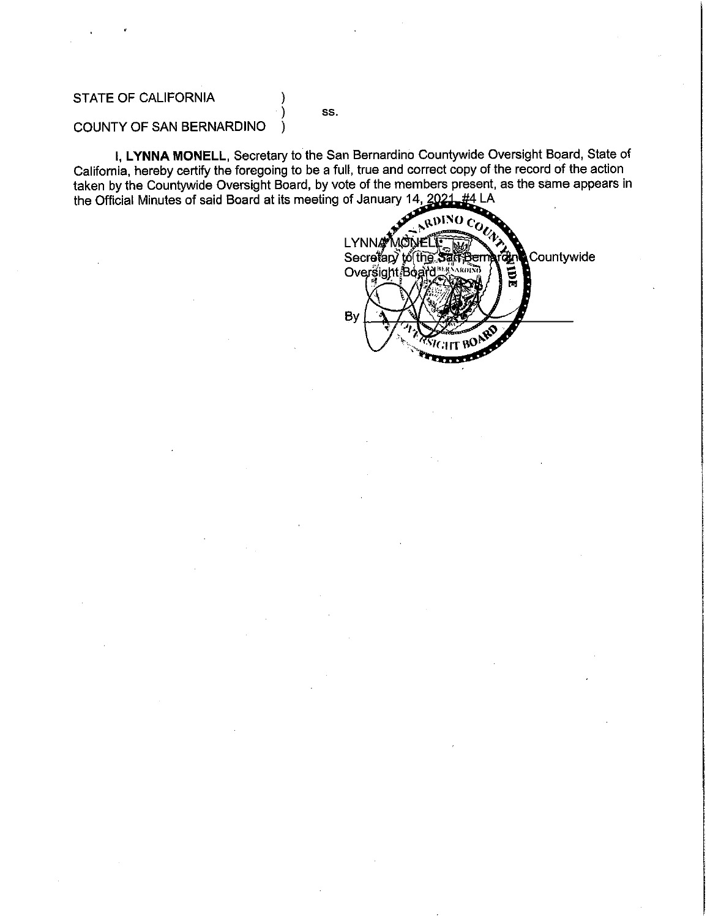#### **STATE OF CALIFORNIA**

SS.

١

#### COUNTY OF SAN BERNARDINO

I, LYNNA MONELL, Secretary to the San Bernardino Countywide Oversight Board, State of California, hereby certify the foregoing to be a full, true and correct copy of the record of the action taken by the Countywide Oversight Board, by vote of the members present, as the same appears in the Official Minutes of said Board at its meeting of January 14, 2021, #4 LA

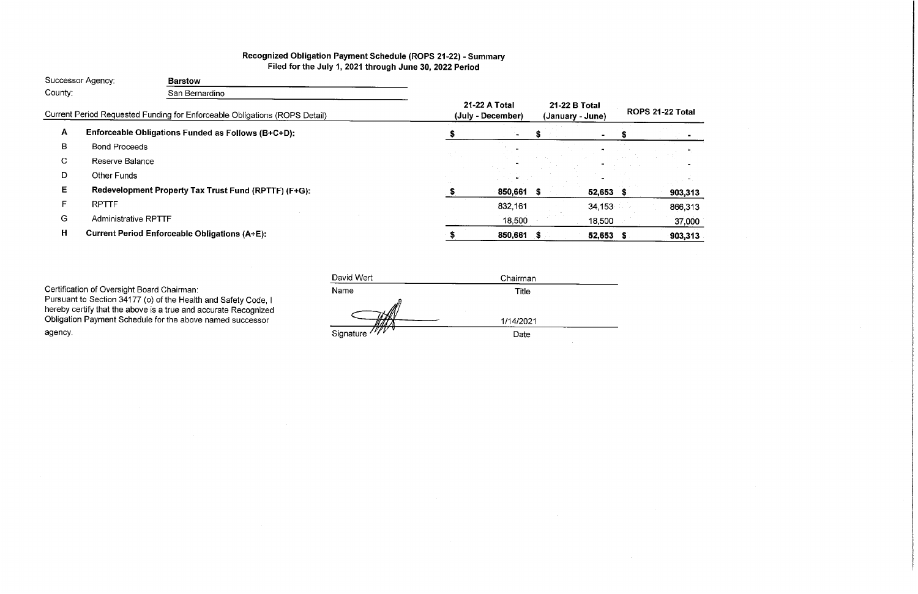# Recognized Obligation Payment Schedule (ROPS 21-22) - Summary Filed for the July 1, 2021 through June 30, 2022 Period

|         | Successor Agency:           | <b>Barstow</b>                                                             |          |                                    |    |                                   |         |                   |
|---------|-----------------------------|----------------------------------------------------------------------------|----------|------------------------------------|----|-----------------------------------|---------|-------------------|
| County: | San Bernardino              |                                                                            |          |                                    |    |                                   |         |                   |
|         |                             | Current Period Requested Funding for Enforceable Obligations (ROPS Detail) |          | 21-22 A Total<br>(July - December) |    | 21-22 B Total<br>(January - June) |         | <b>ROPS 21-22</b> |
| A       |                             | Enforceable Obligations Funded as Follows (B+C+D):                         |          |                                    |    |                                   |         |                   |
| B       | <b>Bond Proceeds</b>        |                                                                            |          |                                    |    |                                   |         |                   |
| C.      | Reserve Balance             |                                                                            | in the c |                                    |    |                                   |         |                   |
| D       | <b>Other Funds</b>          |                                                                            |          |                                    |    |                                   |         |                   |
| E.      |                             | Redevelopment Property Tax Trust Fund (RPTTF) (F+G):                       |          | 850,661 \$                         |    | $52,653$ \$                       |         |                   |
| F.      | <b>RPTTF</b>                |                                                                            |          | 832,161                            |    | 34, 153                           |         |                   |
| G       | <b>Administrative RPTTF</b> |                                                                            |          | 18,500                             |    | 18,500                            |         |                   |
| Н       |                             | <b>Current Period Enforceable Obligations (A+E):</b>                       |          | 850,661                            | -5 | 52,653                            | $\cdot$ |                   |
|         |                             |                                                                            |          |                                    |    |                                   |         |                   |

 $\sim 10^7$ 

Certification of Oversight Board Chairman:<br>Pursuant to Section 34177 (o) of the Health and Safety Code, I<br>hereby certify that the above is a true and accurate Recognized<br>Obligation Payment Schedule for the above named succ agency.

| David Wert     | Chairman  |  |
|----------------|-----------|--|
| Name           | Title     |  |
| ₩              | 1/14/2021 |  |
| Signature //// | Date      |  |

# 2 Total

 $\sim$ -41 903,313 866,313 37,000 903,313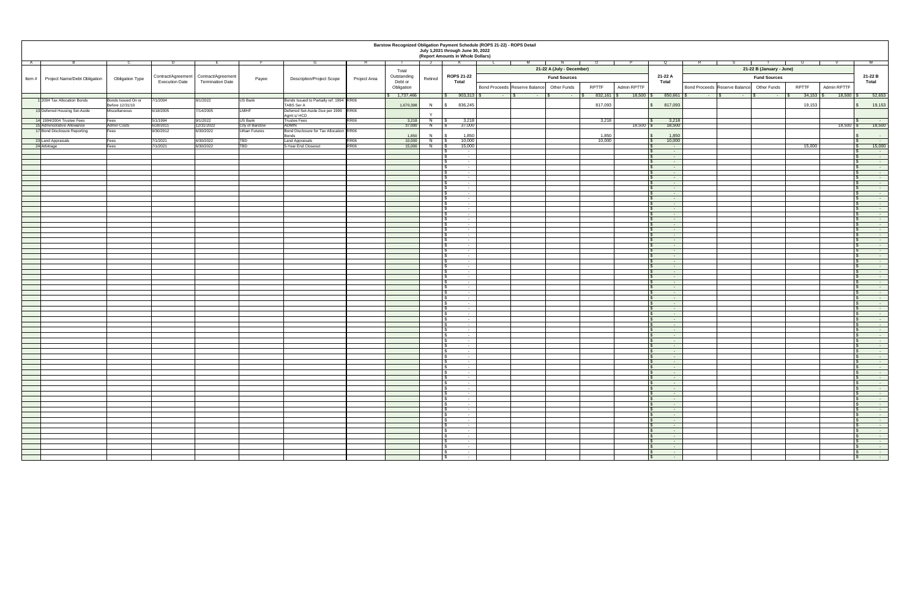| Barstow Recognized Obligation Payment Schedule (ROPS 21-22) - ROPS Detail<br>July 1,2021 through June 30, 2022<br>(Report Amounts in Whole Dollars) |                                                        |                       |                                                                    |                         |                                                                                                |                  |                                      |               |                                              |                                                                                   |                      |             |                                                                                 |                                                                                   |                             |                                                        |
|-----------------------------------------------------------------------------------------------------------------------------------------------------|--------------------------------------------------------|-----------------------|--------------------------------------------------------------------|-------------------------|------------------------------------------------------------------------------------------------|------------------|--------------------------------------|---------------|----------------------------------------------|-----------------------------------------------------------------------------------|----------------------|-------------|---------------------------------------------------------------------------------|-----------------------------------------------------------------------------------|-----------------------------|--------------------------------------------------------|
| A                                                                                                                                                   | ◡                                                      |                       |                                                                    |                         | ات                                                                                             |                  | <b>K</b><br>Total                    |               | <b>ROPS 21-22</b>                            | 21-22 A (July - December)                                                         |                      |             | ∣ Q<br>21-22 A                                                                  | 21-22 B (January - June)                                                          |                             |                                                        |
| Item#<br><b>Project Name/Debt Obligation</b>                                                                                                        | <b>Obligation Type</b>                                 | <b>Execution Date</b> | Contract/Agreement   Contract/Agreement<br><b>Termination Date</b> | Payee                   | <b>Description/Project Scope</b>                                                               | Project Area     | Outstanding<br>Debt or<br>Obligation | Retired       | <b>Total</b>                                 | <b>Fund Sources</b><br><b>Bond Proceeds Reserve Balance</b><br><b>Other Funds</b> | <b>RPTTF</b>         | Admin RPTTF | <b>Total</b>                                                                    | <b>Fund Sources</b><br><b>Bond Proceeds Reserve Balance</b><br><b>Other Funds</b> | <b>RPTTF</b><br>Admin RPTTF | 21-22 B<br><b>Total</b>                                |
|                                                                                                                                                     |                                                        |                       |                                                                    |                         |                                                                                                |                  | \$ 1,737,466                         |               | $903,313$ \$                                 | <b>Contract Contract</b><br><b>STATE OF BUILDING</b><br><b>Contract Contract</b>  | $832,161$ $\sqrt{9}$ | 18,500      | $850,661$ \$                                                                    | $-1.8$<br><b>Service</b><br><b>State State</b>                                    | $18,500$   \$               | 52,653                                                 |
| 1 2004 Tax Allocation Bonds<br>13 Deferred Housing Set-Aside                                                                                        | Bonds Issued On or<br>Before 12/31/10<br>Miscellaneous | 7/1/2004<br>6/18/2005 | 9/1/2022<br>7/14/2005                                              | US Bank<br><b>LMIHF</b> | Bonds Issued to Partially ref. 1994 RR06<br>TABS Ser A<br>Deferred Set-Aside Due per 1996 RR06 |                  | 1,670,398                            | -N            | 836,245                                      |                                                                                   | 817,093              |             | 817,093                                                                         |                                                                                   | 19,153                      | 19,153                                                 |
| 14 1994/2004 Trustee Fees                                                                                                                           | Fees                                                   | 5/1/1994              | 9/1/2022                                                           | US Bank                 | Agmt s/HCD<br><b>Trustee Fees</b>                                                              | RR <sub>06</sub> | 3,218                                | $\vee$<br>- N | 3,218                                        |                                                                                   | 3,218                |             | 3,218                                                                           |                                                                                   |                             | <b>Contract Contract</b>                               |
| 15 Administrative Allowance                                                                                                                         | <b>Admin Costs</b>                                     | 6/28/2011             | 12/31/2022                                                         | City of Barstow         | <b>ADMIN</b>                                                                                   |                  | 37,000                               | - IN          | 37,000                                       |                                                                                   |                      | 18,500      | 18,500                                                                          |                                                                                   | $18,500$ \$                 | 18,500                                                 |
| 17 Bond Disclosure Reporting                                                                                                                        | Fees                                                   | 9/30/2012             | 6/30/2022                                                          | <b>Urban Futures</b>    | Bond Disclosure for Tax Allocation RR06                                                        |                  |                                      |               |                                              |                                                                                   |                      |             |                                                                                 |                                                                                   |                             |                                                        |
|                                                                                                                                                     |                                                        | 7/1/2021              | 6/30/2022                                                          |                         | Bonds                                                                                          | RR06             | 1,850<br>10,000                      | - IN          | 1,850<br>10,000                              |                                                                                   | 1,850<br>10,000      |             | 1,850<br>10,000                                                                 |                                                                                   |                             | $\sim 100$ km s $^{-1}$                                |
| 23 Land Appraisals<br>24 Arbitrage                                                                                                                  | Fees<br>Fees                                           | 7/1/2021              | 6/30/2022                                                          | TBD<br>TBD              | Land Appraisals<br>5-Year End Closeout                                                         | RR <sub>06</sub> | 15,000                               | - 18          | 15,000                                       |                                                                                   |                      |             | <b>State State</b>                                                              |                                                                                   | 15,000                      | $\sim 100$ m $^{-1}$<br>15,000                         |
|                                                                                                                                                     |                                                        |                       |                                                                    |                         |                                                                                                |                  |                                      |               | $\sim$                                       |                                                                                   |                      |             | <b>State State</b>                                                              |                                                                                   |                             | $\sim$ $-$                                             |
|                                                                                                                                                     |                                                        |                       |                                                                    |                         |                                                                                                |                  |                                      |               | $\sim$ 100 $\sim$                            |                                                                                   |                      |             | $\sim 100$                                                                      |                                                                                   |                             | <b>State State</b>                                     |
|                                                                                                                                                     |                                                        |                       |                                                                    |                         |                                                                                                |                  |                                      |               | $\sim$<br>$\sim$ $ \sim$                     |                                                                                   |                      |             | $\sim$ 100 $\sim$<br><b>State State</b>                                         |                                                                                   |                             | $\sim$ 100 $\pm$ 100 $\pm$<br><b>State State</b>       |
|                                                                                                                                                     |                                                        |                       |                                                                    |                         |                                                                                                |                  |                                      |               | $\sim$                                       |                                                                                   |                      |             | $\sim$ $-$                                                                      |                                                                                   |                             | $\sim$ $-$                                             |
|                                                                                                                                                     |                                                        |                       |                                                                    |                         |                                                                                                |                  |                                      |               | $\sim$                                       |                                                                                   |                      |             | $\sim 100$ m $^{-1}$                                                            |                                                                                   |                             |                                                        |
|                                                                                                                                                     |                                                        |                       |                                                                    |                         |                                                                                                |                  |                                      |               | $\sim$                                       |                                                                                   |                      |             | <b>State State</b>                                                              |                                                                                   |                             |                                                        |
|                                                                                                                                                     |                                                        |                       |                                                                    |                         |                                                                                                |                  |                                      |               | $\sim$<br>$\sim$                             |                                                                                   |                      |             | <b>State State</b><br><b>Contract Contract</b>                                  |                                                                                   |                             | <b>State State</b>                                     |
|                                                                                                                                                     |                                                        |                       |                                                                    |                         |                                                                                                |                  |                                      |               | $\sim$                                       |                                                                                   |                      |             | <b>State State</b>                                                              |                                                                                   |                             | $\sim 1000$                                            |
|                                                                                                                                                     |                                                        |                       |                                                                    |                         |                                                                                                |                  |                                      |               | $\sim$ 100 $\sim$                            |                                                                                   |                      |             | <b>State State</b>                                                              |                                                                                   |                             | <b>State State</b>                                     |
|                                                                                                                                                     |                                                        |                       |                                                                    |                         |                                                                                                |                  |                                      |               |                                              |                                                                                   |                      |             | $\sim$ $-$                                                                      |                                                                                   |                             | <b>State State</b>                                     |
|                                                                                                                                                     |                                                        |                       |                                                                    |                         |                                                                                                |                  |                                      |               |                                              |                                                                                   |                      |             | <b>State State</b>                                                              |                                                                                   |                             |                                                        |
|                                                                                                                                                     |                                                        |                       |                                                                    |                         |                                                                                                |                  |                                      |               | <b>Service</b>                               |                                                                                   |                      |             | <b>Service Contract</b>                                                         |                                                                                   |                             |                                                        |
|                                                                                                                                                     |                                                        |                       |                                                                    |                         |                                                                                                |                  |                                      |               | $\sim$ $-$<br>$\sim$ $-$                     |                                                                                   |                      |             | <b>Service State</b><br><b>State State</b>                                      |                                                                                   |                             |                                                        |
|                                                                                                                                                     |                                                        |                       |                                                                    |                         |                                                                                                |                  |                                      |               | $\sim$                                       |                                                                                   |                      |             | <b>State State</b>                                                              |                                                                                   |                             |                                                        |
|                                                                                                                                                     |                                                        |                       |                                                                    |                         |                                                                                                |                  |                                      |               | $\sim 100$ m $^{-1}$                         |                                                                                   |                      |             | <b>Contract Contract</b>                                                        |                                                                                   |                             |                                                        |
|                                                                                                                                                     |                                                        |                       |                                                                    |                         |                                                                                                |                  |                                      |               | <b>Service</b><br>$\sim 100$ m $^{-1}$       |                                                                                   |                      |             | <b>Service Contracts</b><br><b>State State</b>                                  |                                                                                   |                             |                                                        |
|                                                                                                                                                     |                                                        |                       |                                                                    |                         |                                                                                                |                  |                                      |               | $\sim$                                       |                                                                                   |                      |             | <b>State State</b>                                                              |                                                                                   |                             |                                                        |
|                                                                                                                                                     |                                                        |                       |                                                                    |                         |                                                                                                |                  |                                      |               | $\sim 100$ m $^{-1}$                         |                                                                                   |                      |             | <b>Contract</b>                                                                 |                                                                                   |                             |                                                        |
|                                                                                                                                                     |                                                        |                       |                                                                    |                         |                                                                                                |                  |                                      |               | <b>Service</b> State<br>$\sim$ $-$           |                                                                                   |                      |             | <b>Service State</b><br><b>Service</b> State                                    |                                                                                   |                             |                                                        |
|                                                                                                                                                     |                                                        |                       |                                                                    |                         |                                                                                                |                  |                                      |               | $\sim$ $-$                                   |                                                                                   |                      |             | <b>Service</b> State                                                            |                                                                                   |                             |                                                        |
|                                                                                                                                                     |                                                        |                       |                                                                    |                         |                                                                                                |                  |                                      |               | $\sim 100$ m $^{-1}$                         |                                                                                   |                      |             | <b>State State</b>                                                              |                                                                                   |                             |                                                        |
|                                                                                                                                                     |                                                        |                       |                                                                    |                         |                                                                                                |                  |                                      |               | $\sim 100$ km s $^{-1}$                      |                                                                                   |                      |             | $\sim 100$ km s $^{-1}$                                                         |                                                                                   |                             |                                                        |
|                                                                                                                                                     |                                                        |                       |                                                                    |                         |                                                                                                |                  |                                      |               | $\sim 100$ m $^{-1}$<br>$\sim 100$ m $^{-1}$ |                                                                                   |                      |             | <b>Contract Contract</b><br><b>State State</b>                                  |                                                                                   |                             |                                                        |
|                                                                                                                                                     |                                                        |                       |                                                                    |                         |                                                                                                |                  |                                      |               | $\sim 100$ m $^{-1}$                         |                                                                                   |                      |             | <b>Contract Contract</b>                                                        |                                                                                   |                             |                                                        |
|                                                                                                                                                     |                                                        |                       |                                                                    |                         |                                                                                                |                  |                                      |               | $\sim 100$ m $^{-1}$                         |                                                                                   |                      |             | <b>State State</b>                                                              |                                                                                   |                             |                                                        |
|                                                                                                                                                     |                                                        |                       |                                                                    |                         |                                                                                                |                  |                                      |               | <b>Service</b><br>$\sim$ $-$                 |                                                                                   |                      |             | <b>State State</b><br>$\mathcal{L}_{\text{max}}$ and $\mathcal{L}_{\text{max}}$ |                                                                                   |                             |                                                        |
|                                                                                                                                                     |                                                        |                       |                                                                    |                         |                                                                                                |                  |                                      |               | $\sim 100$ m $^{-1}$                         |                                                                                   |                      |             | $\sim 100$ m $^{-1}$                                                            |                                                                                   |                             | <b>State State</b>                                     |
|                                                                                                                                                     |                                                        |                       |                                                                    |                         |                                                                                                |                  |                                      |               | $\sim 100$ km s $^{-1}$                      |                                                                                   |                      |             | $\sim 100$ m $^{-1}$                                                            |                                                                                   |                             |                                                        |
|                                                                                                                                                     |                                                        |                       |                                                                    |                         |                                                                                                |                  |                                      |               | $\sim 100$ m $^{-1}$<br>$\sim 100$ m $^{-1}$ |                                                                                   |                      |             | $\sim 100$ km s $^{-1}$<br><b>State State</b>                                   |                                                                                   |                             |                                                        |
|                                                                                                                                                     |                                                        |                       |                                                                    |                         |                                                                                                |                  |                                      |               | <b>Contract Contract</b>                     |                                                                                   |                      |             | <b>State State</b>                                                              |                                                                                   |                             |                                                        |
|                                                                                                                                                     |                                                        |                       |                                                                    |                         |                                                                                                |                  |                                      |               | $\sim 100$ m $^{-1}$                         |                                                                                   |                      |             | <b>Common</b>                                                                   |                                                                                   |                             |                                                        |
|                                                                                                                                                     |                                                        |                       |                                                                    |                         |                                                                                                |                  |                                      |               | $\sim 100$ m $^{-1}$<br>$\sim 100$ m $^{-1}$ |                                                                                   |                      |             | <b>State State</b><br><b>Common</b>                                             |                                                                                   |                             | <b>State State</b>                                     |
|                                                                                                                                                     |                                                        |                       |                                                                    |                         |                                                                                                |                  |                                      |               | $\sim 100$ m $^{-1}$                         |                                                                                   |                      |             | $\sim 100$ m $^{-1}$                                                            |                                                                                   |                             |                                                        |
|                                                                                                                                                     |                                                        |                       |                                                                    |                         |                                                                                                |                  |                                      |               | $\sim$ $-$                                   |                                                                                   |                      |             | <b>State State</b>                                                              |                                                                                   |                             |                                                        |
|                                                                                                                                                     |                                                        |                       |                                                                    |                         |                                                                                                |                  |                                      |               | $\sim$ $-$                                   |                                                                                   |                      |             | <b>State State</b>                                                              |                                                                                   |                             |                                                        |
|                                                                                                                                                     |                                                        |                       |                                                                    |                         |                                                                                                |                  |                                      |               | $\sim$ $-$                                   |                                                                                   |                      |             | <b>Service Contract</b>                                                         |                                                                                   |                             | $\sim$ 100 $-$ 100 $-$                                 |
|                                                                                                                                                     |                                                        |                       |                                                                    |                         |                                                                                                |                  |                                      |               | $\sim 100$ km s $^{-1}$                      |                                                                                   |                      |             | <b>Service Contracts</b>                                                        |                                                                                   |                             | <b>Service Contract Contract</b>                       |
|                                                                                                                                                     |                                                        |                       |                                                                    |                         |                                                                                                |                  |                                      |               | $\sim$ 100 $\sim$ 100 $\sim$                 |                                                                                   |                      |             | $\sim 100$ m $^{-1}$                                                            |                                                                                   |                             | <b>State State</b>                                     |
|                                                                                                                                                     |                                                        |                       |                                                                    |                         |                                                                                                |                  |                                      |               | $\sim 100$ m $^{-1}$<br>$\sim$ 100 $\sim$    |                                                                                   |                      |             | <b>Service Contract</b><br><b>Service</b> State                                 |                                                                                   |                             | $\sim 100$ m $^{-1}$<br><b>Contract Contract State</b> |
|                                                                                                                                                     |                                                        |                       |                                                                    |                         |                                                                                                |                  |                                      |               | $\sim 100$ m $^{-1}$                         |                                                                                   |                      |             | $\mathcal{L}_{\rm{max}}$ and $\mathcal{L}_{\rm{max}}$                           |                                                                                   |                             | $\sim 100$ km s $^{-1}$                                |
|                                                                                                                                                     |                                                        |                       |                                                                    |                         |                                                                                                |                  |                                      |               | $\sim$ $-$                                   |                                                                                   |                      |             | <b>State State</b>                                                              |                                                                                   |                             | <b>State State</b>                                     |
|                                                                                                                                                     |                                                        |                       |                                                                    |                         |                                                                                                |                  |                                      |               | $\sim 100$ km s $^{-1}$                      |                                                                                   |                      |             | <b>Service Contract</b>                                                         |                                                                                   |                             | <b>Contract Contract</b>                               |
|                                                                                                                                                     |                                                        |                       |                                                                    |                         |                                                                                                |                  |                                      |               | $\sim$ $-$<br>$\sim 100$ m $^{-1}$           |                                                                                   |                      |             | <b>State State</b><br><b>Service Contract</b>                                   |                                                                                   |                             | <b>State State</b><br><b>Contract Contract</b>         |
|                                                                                                                                                     |                                                        |                       |                                                                    |                         |                                                                                                |                  |                                      |               | $\sim$ $-$                                   |                                                                                   |                      |             | <b>State State</b>                                                              |                                                                                   |                             | <b>State State</b>                                     |
|                                                                                                                                                     |                                                        |                       |                                                                    |                         |                                                                                                |                  |                                      |               | $\sim$ 100 $-$                               |                                                                                   |                      |             | <b>Service</b>                                                                  |                                                                                   |                             | <b>State State</b>                                     |
|                                                                                                                                                     |                                                        |                       |                                                                    |                         |                                                                                                |                  |                                      |               | l \$<br>$\sim$ $-$                           |                                                                                   |                      |             | $\sim 1000$ m $^{-1}$                                                           |                                                                                   |                             | $\sim 100$ km s $^{-1}$                                |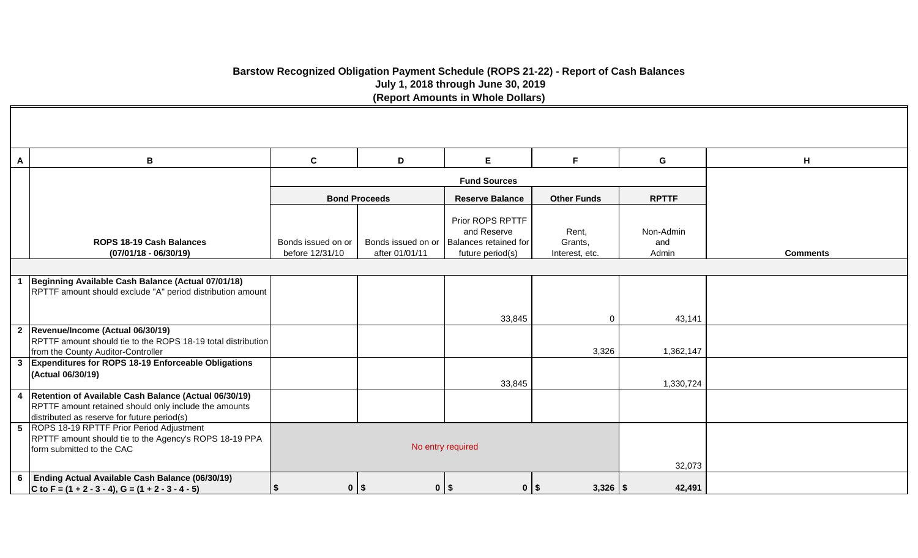# **Barstow Recognized Obligation Payment Schedule (ROPS 21-22) - Report of Cash Balances July 1, 2018 through June 30, 2019 (Report Amounts in Whole Dollars)**

| A | B                                                                                                                                                                 | $\mathbf{C}$                          | D                    | E                                                                                                 | F                                  | G                         | H               |
|---|-------------------------------------------------------------------------------------------------------------------------------------------------------------------|---------------------------------------|----------------------|---------------------------------------------------------------------------------------------------|------------------------------------|---------------------------|-----------------|
|   |                                                                                                                                                                   |                                       |                      | <b>Fund Sources</b>                                                                               |                                    |                           |                 |
|   |                                                                                                                                                                   |                                       | <b>Bond Proceeds</b> | <b>Reserve Balance</b>                                                                            | <b>Other Funds</b>                 | <b>RPTTF</b>              |                 |
|   | ROPS 18-19 Cash Balances<br>$(07/01/18 - 06/30/19)$                                                                                                               | Bonds issued on or<br>before 12/31/10 | after 01/01/11       | Prior ROPS RPTTF<br>and Reserve<br>Bonds issued on or   Balances retained for<br>future period(s) | Rent,<br>Grants,<br>Interest, etc. | Non-Admin<br>and<br>Admin | <b>Comments</b> |
|   |                                                                                                                                                                   |                                       |                      |                                                                                                   |                                    |                           |                 |
|   | Beginning Available Cash Balance (Actual 07/01/18)<br>RPTTF amount should exclude "A" period distribution amount                                                  |                                       |                      |                                                                                                   |                                    |                           |                 |
|   |                                                                                                                                                                   |                                       |                      | 33,845                                                                                            | $\overline{0}$                     | 43,141                    |                 |
|   | 2  Revenue/Income (Actual 06/30/19)<br>RPTTF amount should tie to the ROPS 18-19 total distribution<br>from the County Auditor-Controller                         |                                       |                      |                                                                                                   | 3,326                              | 1,362,147                 |                 |
|   | 3 Expenditures for ROPS 18-19 Enforceable Obligations<br>(Actual 06/30/19)                                                                                        |                                       |                      | 33,845                                                                                            |                                    | 1,330,724                 |                 |
|   | 4   Retention of Available Cash Balance (Actual 06/30/19)<br>RPTTF amount retained should only include the amounts<br>distributed as reserve for future period(s) |                                       |                      |                                                                                                   |                                    |                           |                 |
|   | 5 ROPS 18-19 RPTTF Prior Period Adjustment<br>RPTTF amount should tie to the Agency's ROPS 18-19 PPA<br>form submitted to the CAC                                 |                                       | No entry required    |                                                                                                   |                                    |                           |                 |
|   | 6 Ending Actual Available Cash Balance (06/30/19)<br>C to F = $(1 + 2 - 3 - 4)$ , G = $(1 + 2 - 3 - 4 - 5)$                                                       | $0$   \$<br>$\boldsymbol{\mathsf{s}}$ |                      | $0$   \$<br>$0$   \$                                                                              | $3,326$   \$                       | 42,491                    |                 |